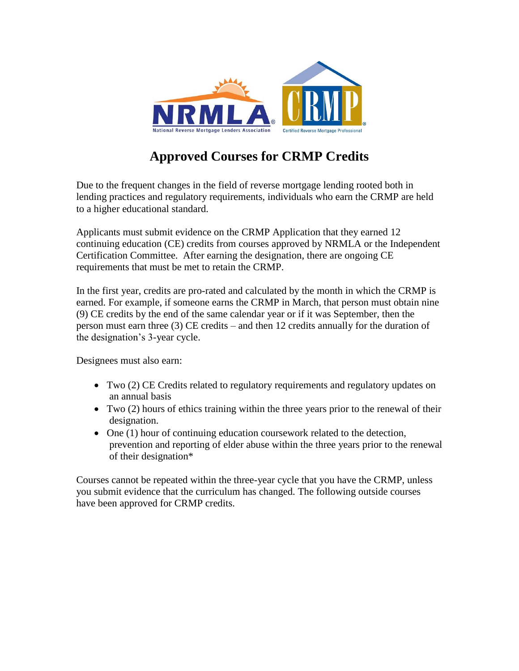

# **Approved Courses for CRMP Credits**

Due to the frequent changes in the field of reverse mortgage lending rooted both in lending practices and regulatory requirements, individuals who earn the CRMP are held to a higher educational standard.

Applicants must submit evidence on the CRMP Application that they earned 12 continuing education (CE) credits from courses approved by NRMLA or the Independent Certification Committee. After earning the designation, there are ongoing CE requirements that must be met to retain the CRMP.

In the first year, credits are pro-rated and calculated by the month in which the CRMP is earned. For example, if someone earns the CRMP in March, that person must obtain nine (9) CE credits by the end of the same calendar year or if it was September, then the person must earn three (3) CE credits – and then 12 credits annually for the duration of the designation's 3-year cycle.

Designees must also earn:

- Two (2) CE Credits related to regulatory requirements and regulatory updates on an annual basis
- Two (2) hours of ethics training within the three years prior to the renewal of their designation.
- One (1) hour of continuing education coursework related to the detection, prevention and reporting of elder abuse within the three years prior to the renewal of their designation\*

Courses cannot be repeated within the three-year cycle that you have the CRMP, unless you submit evidence that the curriculum has changed. The following outside courses have been approved for CRMP credits.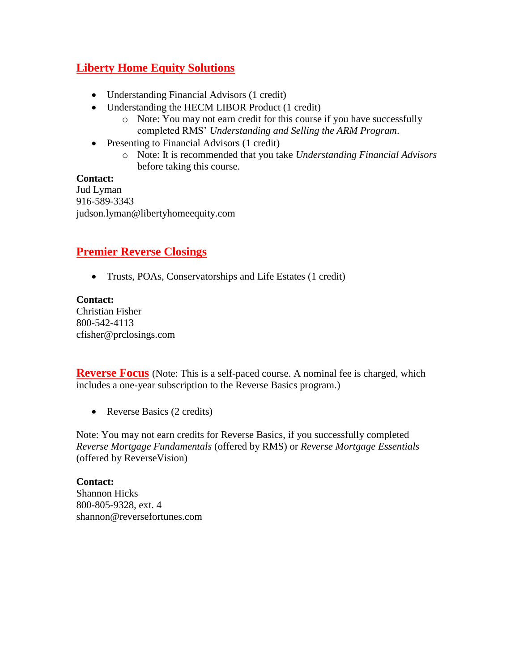## **Liberty Home Equity Solutions**

- Understanding Financial Advisors (1 credit)
- Understanding the HECM LIBOR Product (1 credit)
	- o Note: You may not earn credit for this course if you have successfully completed RMS' *Understanding and Selling the ARM Program*.
- Presenting to Financial Advisors (1 credit)
	- o Note: It is recommended that you take *Understanding Financial Advisors* before taking this course.

#### **Contact:**

Jud Lyman 916-589-3343 judson.lyman@libertyhomeequity.com

### **Premier Reverse Closings**

Trusts, POAs, Conservatorships and Life Estates (1 credit)

**Contact:** Christian Fisher 800-542-4113 cfisher@prclosings.com

**Reverse Focus** (Note: This is a self-paced course. A nominal fee is charged, which includes a one-year subscription to the Reverse Basics program.)

• Reverse Basics (2 credits)

Note: You may not earn credits for Reverse Basics, if you successfully completed *Reverse Mortgage Fundamentals* (offered by RMS) or *Reverse Mortgage Essentials*  (offered by ReverseVision)

**Contact:** Shannon Hicks 800-805-9328, ext. 4 shannon@reversefortunes.com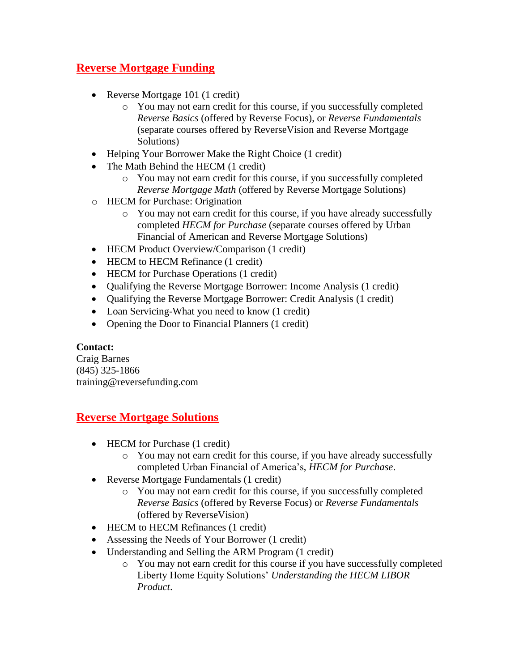## **Reverse Mortgage Funding**

- Reverse Mortgage 101 (1 credit)
	- o You may not earn credit for this course, if you successfully completed *Reverse Basics* (offered by Reverse Focus), or *Reverse Fundamentals* (separate courses offered by ReverseVision and Reverse Mortgage Solutions)
- Helping Your Borrower Make the Right Choice (1 credit)
- The Math Behind the HECM (1 credit)
	- o You may not earn credit for this course, if you successfully completed *Reverse Mortgage Math* (offered by Reverse Mortgage Solutions)
- o HECM for Purchase: Origination
	- o You may not earn credit for this course, if you have already successfully completed *HECM for Purchase* (separate courses offered by Urban Financial of American and Reverse Mortgage Solutions)
- HECM Product Overview/Comparison (1 credit)
- HECM to HECM Refinance (1 credit)
- HECM for Purchase Operations (1 credit)
- Qualifying the Reverse Mortgage Borrower: Income Analysis (1 credit)
- Oualifying the Reverse Mortgage Borrower: Credit Analysis (1 credit)
- Loan Servicing-What you need to know (1 credit)
- Opening the Door to Financial Planners (1 credit)

### **Contact:**

Craig Barnes (845) 325-1866 training@reversefunding.com

### **Reverse Mortgage Solutions**

- HECM for Purchase (1 credit)
	- o You may not earn credit for this course, if you have already successfully completed Urban Financial of America's, *HECM for Purchase*.
- Reverse Mortgage Fundamentals (1 credit)
	- o You may not earn credit for this course, if you successfully completed *Reverse Basics* (offered by Reverse Focus) or *Reverse Fundamentals* (offered by ReverseVision)
- HECM to HECM Refinances (1 credit)
- Assessing the Needs of Your Borrower (1 credit)
- Understanding and Selling the ARM Program (1 credit)
	- o You may not earn credit for this course if you have successfully completed Liberty Home Equity Solutions' *Understanding the HECM LIBOR Product*.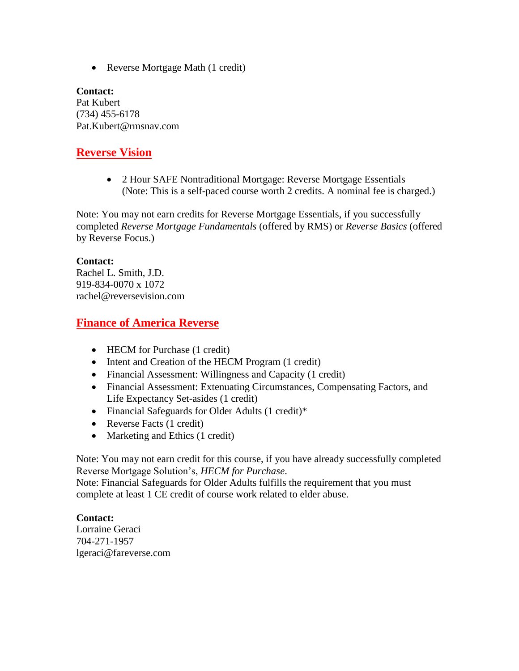• Reverse Mortgage Math (1 credit)

**Contact:** Pat Kubert (734) 455-6178 Pat.Kubert@rmsnav.com

### **Reverse Vision**

 2 Hour SAFE Nontraditional Mortgage: Reverse Mortgage Essentials (Note: This is a self-paced course worth 2 credits. A nominal fee is charged.)

Note: You may not earn credits for Reverse Mortgage Essentials, if you successfully completed *Reverse Mortgage Fundamentals* (offered by RMS) or *Reverse Basics* (offered by Reverse Focus.)

#### **Contact:**

Rachel L. Smith, J.D. 919-834-0070 x 1072 rachel@reversevision.com

### **Finance of America Reverse**

- HECM for Purchase (1 credit)
- Intent and Creation of the HECM Program (1 credit)
- Financial Assessment: Willingness and Capacity (1 credit)
- Financial Assessment: Extenuating Circumstances, Compensating Factors, and Life Expectancy Set-asides (1 credit)
- Financial Safeguards for Older Adults (1 credit)\*
- Reverse Facts (1 credit)
- Marketing and Ethics (1 credit)

Note: You may not earn credit for this course, if you have already successfully completed Reverse Mortgage Solution's, *HECM for Purchase*.

Note: Financial Safeguards for Older Adults fulfills the requirement that you must complete at least 1 CE credit of course work related to elder abuse.

#### **Contact:**

Lorraine Geraci 704-271-1957 lgeraci@fareverse.com